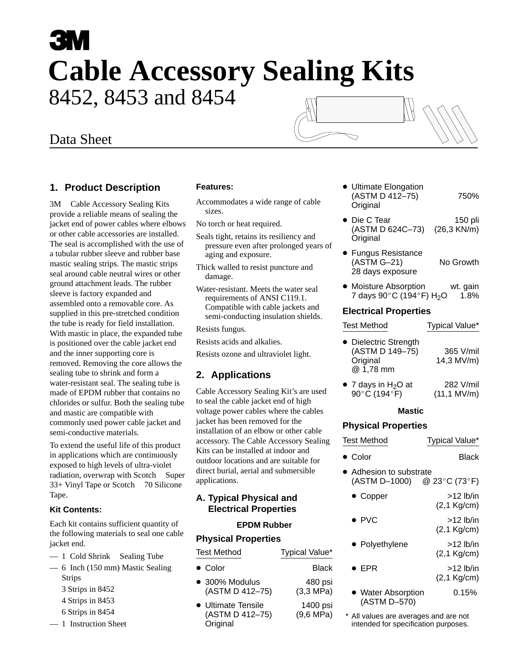# 8452, 8453 and 8454 **Cable Accessory Sealing Kits**

## Data Sheet

## **1. Product Description**

3M™ Cable Accessory Sealing Kits provide a reliable means of sealing the jacket end of power cables where elbows or other cable accessories are installed. The seal is accomplished with the use of a tubular rubber sleeve and rubber base mastic sealing strips. The mastic strips seal around cable neutral wires or other ground attachment leads. The rubber sleeve is factory expanded and assembled onto a removable core. As supplied in this pre-stretched condition the tube is ready for field installation. With mastic in place, the expanded tube is positioned over the cable jacket end and the inner supporting core is removed. Removing the core allows the sealing tube to shrink and form a water-resistant seal. The sealing tube is made of EPDM rubber that contains no chlorides or sulfur. Both the sealing tube and mastic are compatible with commonly used power cable jacket and semi-conductive materials.

To extend the useful life of this product in applications which are continuously exposed to high levels of ultra-violet radiation, overwrap with Scotch™ Super 33+ Vinyl Tape or Scotch<sup>TM</sup> 70 Silicone Tape.

#### **Kit Contents:**

Each kit contains sufficient quantity of the following materials to seal one cable jacket end.

- $-1$  Cold Shrink<sup>TM</sup> Sealing Tube
- 6 Inch (150 mm) Mastic Sealing Strips
	- 3 Strips in 8452
	- 4 Strips in 8453
	- 6 Strips in 8454
- 1 Instruction Sheet

#### **Features:**

- Accommodates a wide range of cable sizes.
- No torch or heat required.
- Seals tight, retains its resiliency and pressure even after prolonged years of aging and exposure.
- Thick walled to resist puncture and damage.
- Water-resistant. Meets the water seal requirements of ANSI C119.1. Compatible with cable jackets and semi-conducting insulation shields.
- Resists fungus.
- Resists acids and alkalies.
- Resists ozone and ultraviolet light.

## **2. Applications**

Cable Accessory Sealing Kit's are used to seal the cable jacket end of high voltage power cables where the cables jacket has been removed for the installation of an elbow or other cable accessory. The Cable Accessory Sealing Kits can be installed at indoor and outdoor locations and are suitable for direct burial, aerial and submersible applications.

## **A. Typical Physical and Electrical Properties**

#### **EPDM Rubber**

#### **Physical Properties**

| <b>Test Method</b>                                | Typical Value*                  |
|---------------------------------------------------|---------------------------------|
| • Color                                           | <b>Black</b>                    |
| • 300% Modulus<br>(ASTM D 412-75)                 | 480 psi<br>$(3,3 \text{ MPa})$  |
| • Ultimate Tensile<br>(ASTM D 412-75)<br>Original | 1400 psi<br>$(9,6 \text{ MPa})$ |

| • Ultimate Elongation |      |
|-----------------------|------|
| (ASTM D 412-75)       | 750% |
| Original              |      |

- Die C Tear 150 pli (ASTM D 624C–73) (26,3 KN/m) Original
- **•** Fungus Resistance (ASTM G–21) No Growth 28 days exposure
- Moisture Absorption wt. gain  $7$  days  $90^{\circ}$ C (194 $^{\circ}$ F) H<sub>2</sub>O 1.8%

### **Electrical Properties**

| <b>Test Method</b>                                                | Typical Value*                      |  |  |  |  |  |
|-------------------------------------------------------------------|-------------------------------------|--|--|--|--|--|
| • Dielectric Strength<br>(ASTM D 149-75)<br>Original<br>@ 1,78 mm | 365 V/mil<br>14,3 MV/m)             |  |  |  |  |  |
| $\bullet$ 7 days in H <sub>2</sub> O at<br>90°C (194°F)           | 282 V/mil<br>$(11, 1 \text{ MV/m})$ |  |  |  |  |  |
| <b>Mastic</b>                                                     |                                     |  |  |  |  |  |
| <b>Physical Properties</b>                                        |                                     |  |  |  |  |  |
| <b>Test Method</b>                                                | Typical Value*                      |  |  |  |  |  |
| • Color                                                           | Black                               |  |  |  |  |  |
| • Adhesion to substrate<br>(ASTM D-1000) @ 23°C (73°F)            |                                     |  |  |  |  |  |
| $\bullet$ Copper                                                  | $>12$ lb/in<br>(2,1 Kg/cm)          |  |  |  |  |  |
| $\blacktriangleright$ PVC                                         | $>12$ lb/in<br>(2,1 Kg/cm)          |  |  |  |  |  |
| ▶ Polyethylene                                                    | $>12$ lb/in<br>$(2,1$ Kg/cm)        |  |  |  |  |  |
| $\bullet$ epr                                                     | $>12$ lb/in<br>(2,1 Kg/cm)          |  |  |  |  |  |
| • Water Absorption<br>(ASTM D-570)                                | 0.15%                               |  |  |  |  |  |
| $*$ All values are overage                                        | $20.004$ are not                    |  |  |  |  |  |

All values are averages and are not intended for specification purposes.